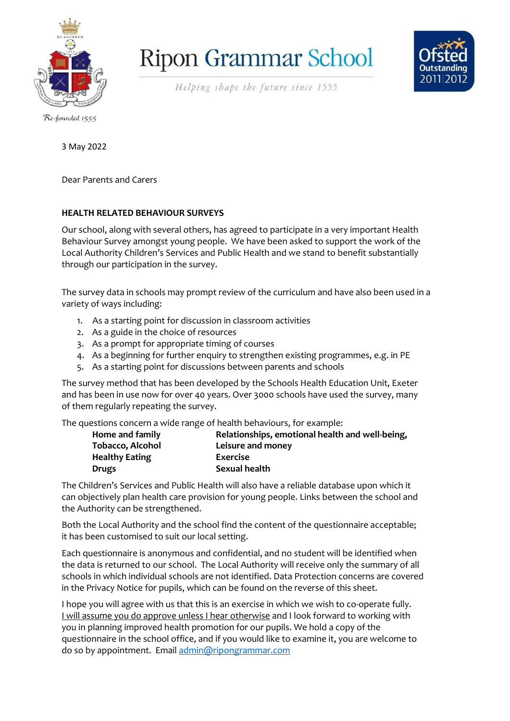

**Ripon Grammar School** 



Helping shape the future since 1555

Re-founded 1555

3 May 2022

Dear Parents and Carers

#### **HEALTH RELATED BEHAVIOUR SURVEYS**

Our school, along with several others, has agreed to participate in a very important Health Behaviour Survey amongst young people. We have been asked to support the work of the Local Authority Children's Services and Public Health and we stand to benefit substantially through our participation in the survey.

The survey data in schools may prompt review of the curriculum and have also been used in a variety of ways including:

- 1. As a starting point for discussion in classroom activities
- 2. As a guide in the choice of resources
- 3. As a prompt for appropriate timing of courses
- 4. As a beginning for further enquiry to strengthen existing programmes, e.g. in PE
- 5. As a starting point for discussions between parents and schools

The survey method that has been developed by the Schools Health Education Unit, Exeter and has been in use now for over 40 years. Over 3000 schools have used the survey, many of them regularly repeating the survey.

The questions concern a wide range of health behaviours, for example:

| Home and family       | Relationships, emotional health and well-being, |
|-----------------------|-------------------------------------------------|
| Tobacco, Alcohol      | Leisure and money                               |
| <b>Healthy Eating</b> | <b>Exercise</b>                                 |
| <b>Drugs</b>          | Sexual health                                   |

The Children's Services and Public Health will also have a reliable database upon which it can objectively plan health care provision for young people. Links between the school and the Authority can be strengthened.

Both the Local Authority and the school find the content of the questionnaire acceptable; it has been customised to suit our local setting.

Each questionnaire is anonymous and confidential, and no student will be identified when the data is returned to our school. The Local Authority will receive only the summary of all schools in which individual schools are not identified. Data Protection concerns are covered in the Privacy Notice for pupils, which can be found on the reverse of this sheet.

I hope you will agree with us that this is an exercise in which we wish to co-operate fully. I will assume you do approve unless I hear otherwise and I look forward to working with you in planning improved health promotion for our pupils. We hold a copy of the questionnaire in the school office, and if you would like to examine it, you are welcome to do so by appointment. Email [admin@ripongrammar.com](mailto:admin@ripongrammar.com)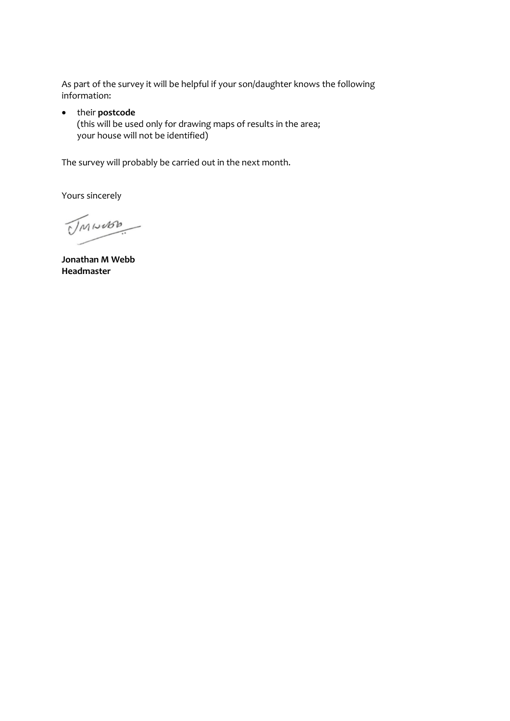As part of the survey it will be helpful if your son/daughter knows the following information:

#### • their **postcode**

(this will be used only for drawing maps of results in the area; your house will not be identified)

The survey will probably be carried out in the next month.

Yours sincerely

UMINOSO

**Jonathan M Webb Headmaster**